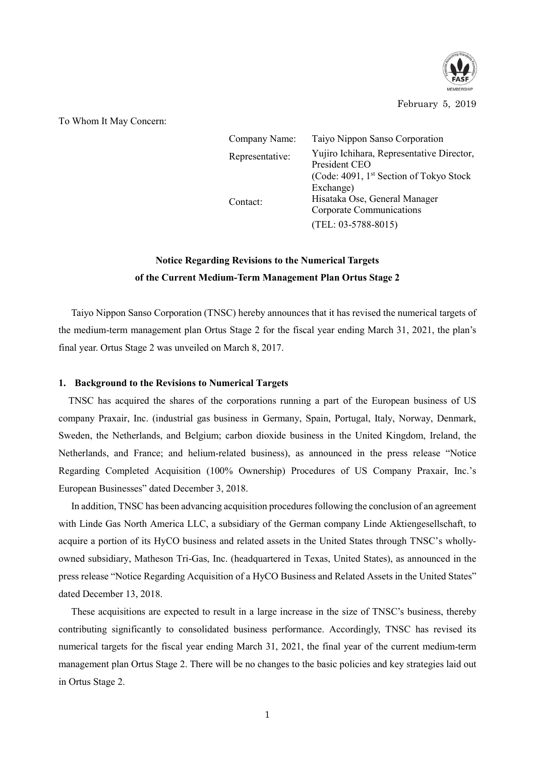

## February 5, 2019

To Whom It May Concern:

| Company Name:   | Taiyo Nippon Sanso Corporation                                   |
|-----------------|------------------------------------------------------------------|
| Representative: | Yujiro Ichihara, Representative Director,<br>President CEO       |
|                 | (Code: 4091, 1 <sup>st</sup> Section of Tokyo Stock<br>Exchange) |
| Contact:        | Hisataka Ose, General Manager<br>Corporate Communications        |
|                 | $(TEL: 03-5788-8015)$                                            |

## **Notice Regarding Revisions to the Numerical Targets of the Current Medium-Term Management Plan Ortus Stage 2**

Taiyo Nippon Sanso Corporation (TNSC) hereby announces that it has revised the numerical targets of the medium-term management plan Ortus Stage 2 for the fiscal year ending March 31, 2021, the plan's final year. Ortus Stage 2 was unveiled on March 8, 2017.

## **1. Background to the Revisions to Numerical Targets**

TNSC has acquired the shares of the corporations running a part of the European business of US company Praxair, Inc. (industrial gas business in Germany, Spain, Portugal, Italy, Norway, Denmark, Sweden, the Netherlands, and Belgium; carbon dioxide business in the United Kingdom, Ireland, the Netherlands, and France; and helium-related business), as announced in the press release "Notice Regarding Completed Acquisition (100% Ownership) Procedures of US Company Praxair, Inc.'s European Businesses" dated December 3, 2018.

In addition, TNSC has been advancing acquisition procedures following the conclusion of an agreement with Linde Gas North America LLC, a subsidiary of the German company Linde Aktiengesellschaft, to acquire a portion of its HyCO business and related assets in the United States through TNSC's whollyowned subsidiary, Matheson Tri-Gas, Inc. (headquartered in Texas, United States), as announced in the press release "Notice Regarding Acquisition of a HyCO Business and Related Assets in the United States" dated December 13, 2018.

These acquisitions are expected to result in a large increase in the size of TNSC's business, thereby contributing significantly to consolidated business performance. Accordingly, TNSC has revised its numerical targets for the fiscal year ending March 31, 2021, the final year of the current medium-term management plan Ortus Stage 2. There will be no changes to the basic policies and key strategies laid out in Ortus Stage 2.